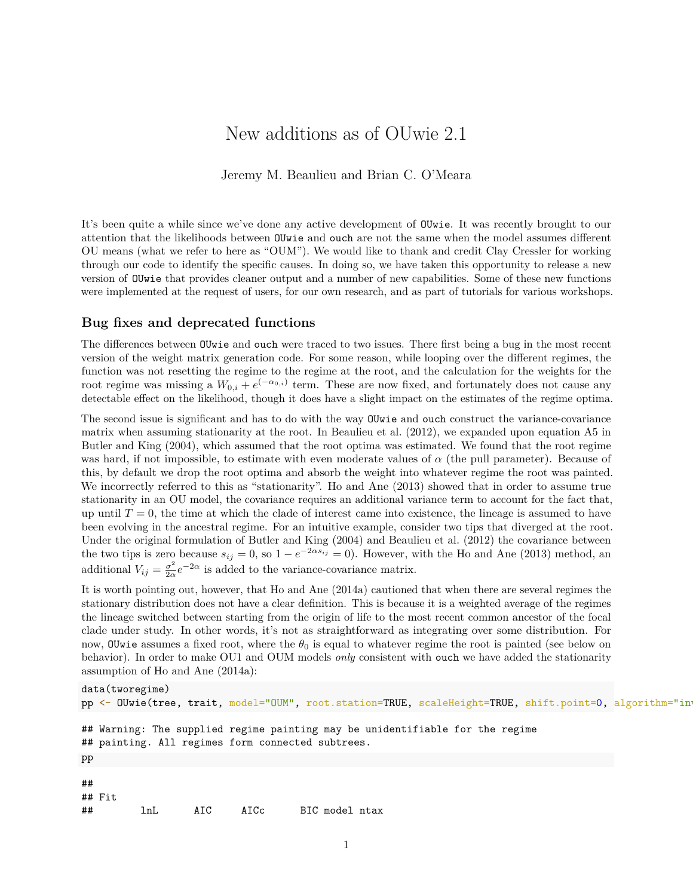# New additions as of OUwie 2.1

Jeremy M. Beaulieu and Brian C. O'Meara

It's been quite a while since we've done any active development of OUwie. It was recently brought to our attention that the likelihoods between OUwie and ouch are not the same when the model assumes different OU means (what we refer to here as "OUM"). We would like to thank and credit Clay Cressler for working through our code to identify the specific causes. In doing so, we have taken this opportunity to release a new version of OUwie that provides cleaner output and a number of new capabilities. Some of these new functions were implemented at the request of users, for our own research, and as part of tutorials for various workshops.

## **Bug fixes and deprecated functions**

The differences between OUwie and ouch were traced to two issues. There first being a bug in the most recent version of the weight matrix generation code. For some reason, while looping over the different regimes, the function was not resetting the regime to the regime at the root, and the calculation for the weights for the root regime was missing a  $W_{0,i} + e^{(-\alpha_{0,i})}$  term. These are now fixed, and fortunately does not cause any detectable effect on the likelihood, though it does have a slight impact on the estimates of the regime optima.

The second issue is significant and has to do with the way OUwie and ouch construct the variance-covariance matrix when assuming stationarity at the root. In Beaulieu et al. (2012), we expanded upon equation A5 in Butler and King (2004), which assumed that the root optima was estimated. We found that the root regime was hard, if not impossible, to estimate with even moderate values of *α* (the pull parameter). Because of this, by default we drop the root optima and absorb the weight into whatever regime the root was painted. We incorrectly referred to this as "stationarity". Ho and Ane (2013) showed that in order to assume true stationarity in an OU model, the covariance requires an additional variance term to account for the fact that, up until  $T = 0$ , the time at which the clade of interest came into existence, the lineage is assumed to have been evolving in the ancestral regime. For an intuitive example, consider two tips that diverged at the root. Under the original formulation of Butler and King (2004) and Beaulieu et al. (2012) the covariance between the two tips is zero because  $s_{ij} = 0$ , so  $1 - e^{-2\alpha s_{ij}} = 0$ ). However, with the Ho and Ane (2013) method, an additional  $V_{ij} = \frac{\sigma^2}{2g}$  $\frac{\sigma^2}{2\alpha}e^{-2\alpha}$  is added to the variance-covariance matrix.

It is worth pointing out, however, that Ho and Ane (2014a) cautioned that when there are several regimes the stationary distribution does not have a clear definition. This is because it is a weighted average of the regimes the lineage switched between starting from the origin of life to the most recent common ancestor of the focal clade under study. In other words, it's not as straightforward as integrating over some distribution. For now, OUwie assumes a fixed root, where the  $\theta_0$  is equal to whatever regime the root is painted (see below on behavior). In order to make OU1 and OUM models *only* consistent with ouch we have added the stationarity assumption of Ho and Ane (2014a):

```
data(tworegime)
pp <- OUwie(tree, trait, model="OUM", root.station=TRUE, scaleHeight=TRUE, shift.point=0, algorithm="in
## Warning: The supplied regime painting may be unidentifiable for the regime
## painting. All regimes form connected subtrees.
pp
##
## Fit
## lnL AIC AICc BIC model ntax
```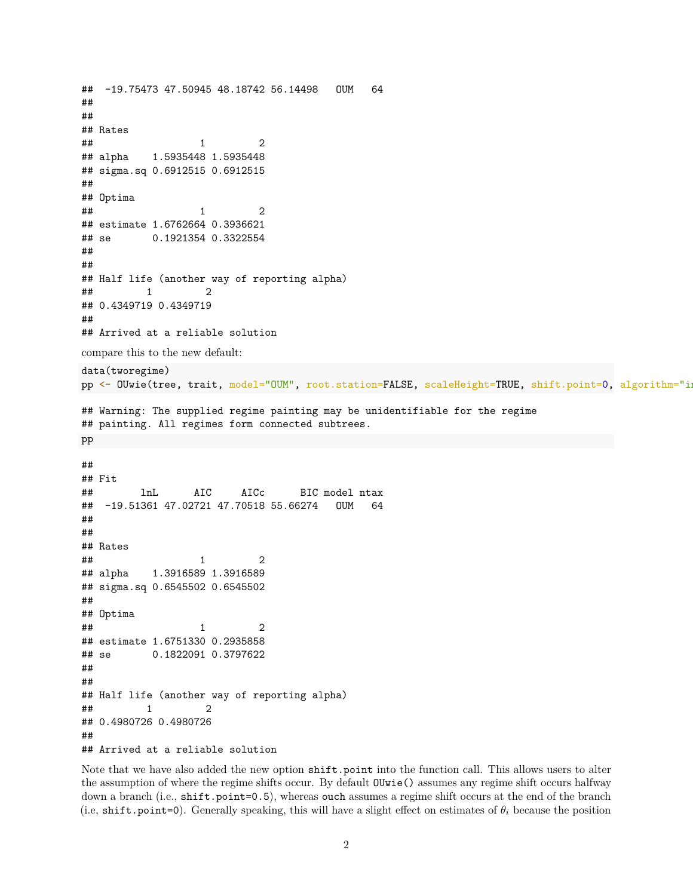```
## -19.75473 47.50945 48.18742 56.14498 OUM 64
##
##
## Rates
\# \# \frac{1}{2}## alpha 1.5935448 1.5935448
## sigma.sq 0.6912515 0.6912515
##
## Optima
\# \# \frac{1}{2}## estimate 1.6762664 0.3936621
## se 0.1921354 0.3322554
##
##
## Half life (another way of reporting alpha)
\# \# \frac{1}{2} \frac{2}{2}## 0.4349719 0.4349719
##
## Arrived at a reliable solution
compare this to the new default:
data(tworegime)
pp <- OUwie(tree, trait, model="OUM", root.station=FALSE, scaleHeight=TRUE, shift.point=0, algorithm="i
## Warning: The supplied regime painting may be unidentifiable for the regime
## painting. All regimes form connected subtrees.
pp
##
## Fit
## lnL AIC AICc BIC model ntax
## -19.51361 47.02721 47.70518 55.66274 OUM 64
##
##
## Rates
\# \# \frac{1}{2}## alpha 1.3916589 1.3916589
## sigma.sq 0.6545502 0.6545502
##
## Optima
\# \# \frac{1}{2}## estimate 1.6751330 0.2935858
## se 0.1822091 0.3797622
##
##
## Half life (another way of reporting alpha)
\# \# \frac{1}{2} \frac{2}{2}## 0.4980726 0.4980726
##
## Arrived at a reliable solution
```
Note that we have also added the new option shift.point into the function call. This allows users to alter the assumption of where the regime shifts occur. By default OUwie() assumes any regime shift occurs halfway down a branch (i.e., shift.point=0.5), whereas ouch assumes a regime shift occurs at the end of the branch (i.e, shift.point=0). Generally speaking, this will have a slight effect on estimates of  $\theta_i$  because the position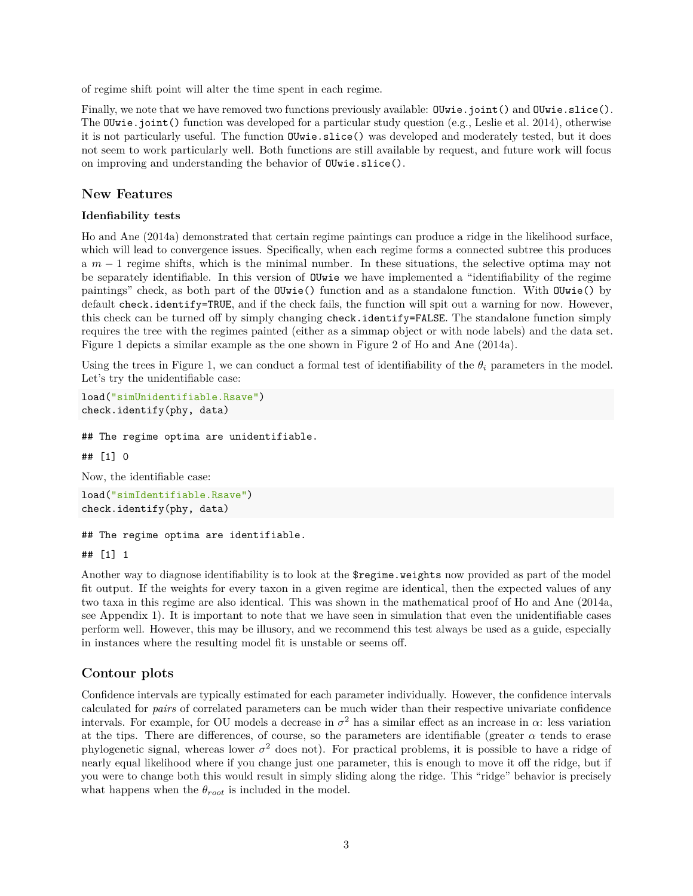of regime shift point will alter the time spent in each regime.

Finally, we note that we have removed two functions previously available: OUwie.joint() and OUwie.slice(). The OUwie.joint() function was developed for a particular study question (e.g., Leslie et al. 2014), otherwise it is not particularly useful. The function OUwie.slice() was developed and moderately tested, but it does not seem to work particularly well. Both functions are still available by request, and future work will focus on improving and understanding the behavior of OUwie.slice().

### **New Features**

#### **Idenfiability tests**

Ho and Ane (2014a) demonstrated that certain regime paintings can produce a ridge in the likelihood surface, which will lead to convergence issues. Specifically, when each regime forms a connected subtree this produces a *m* − 1 regime shifts, which is the minimal number. In these situations, the selective optima may not be separately identifiable. In this version of OUwie we have implemented a "identifiability of the regime paintings" check, as both part of the OUwie() function and as a standalone function. With OUwie() by default check.identify=TRUE, and if the check fails, the function will spit out a warning for now. However, this check can be turned off by simply changing check.identify=FALSE. The standalone function simply requires the tree with the regimes painted (either as a simmap object or with node labels) and the data set. Figure 1 depicts a similar example as the one shown in Figure 2 of Ho and Ane (2014a).

Using the trees in Figure 1, we can conduct a formal test of identifiability of the  $\theta_i$  parameters in the model. Let's try the unidentifiable case:

```
load("simUnidentifiable.Rsave")
check.identify(phy, data)
```
## The regime optima are unidentifiable.

## [1] 0

Now, the identifiable case:

```
load("simIdentifiable.Rsave")
check.identify(phy, data)
```
#### ## The regime optima are identifiable.

## [1] 1

Another way to diagnose identifiability is to look at the \$regime.weights now provided as part of the model fit output. If the weights for every taxon in a given regime are identical, then the expected values of any two taxa in this regime are also identical. This was shown in the mathematical proof of Ho and Ane (2014a, see Appendix 1). It is important to note that we have seen in simulation that even the unidentifiable cases perform well. However, this may be illusory, and we recommend this test always be used as a guide, especially in instances where the resulting model fit is unstable or seems off.

## **Contour plots**

Confidence intervals are typically estimated for each parameter individually. However, the confidence intervals calculated for *pairs* of correlated parameters can be much wider than their respective univariate confidence intervals. For example, for OU models a decrease in  $\sigma^2$  has a similar effect as an increase in  $\alpha$ : less variation at the tips. There are differences, of course, so the parameters are identifiable (greater  $\alpha$  tends to erase phylogenetic signal, whereas lower  $\sigma^2$  does not). For practical problems, it is possible to have a ridge of nearly equal likelihood where if you change just one parameter, this is enough to move it off the ridge, but if you were to change both this would result in simply sliding along the ridge. This "ridge" behavior is precisely what happens when the  $\theta_{root}$  is included in the model.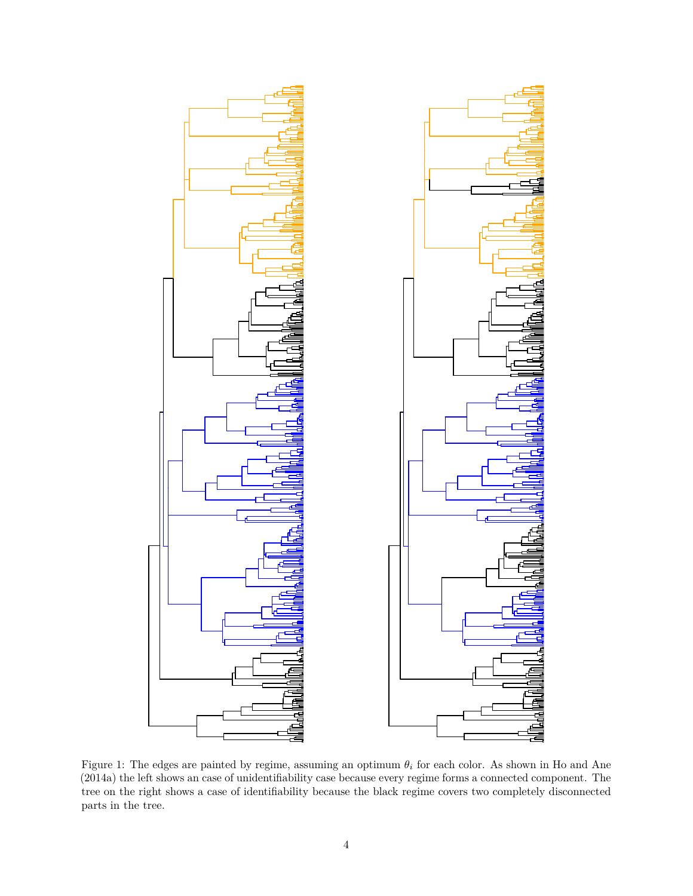

Figure 1: The edges are painted by regime, assuming an optimum *θ<sup>i</sup>* for each color. As shown in Ho and Ane (2014a) the left shows an case of unidentifiability case because every regime forms a connected component. The tree on the right shows a case of identifiability because the black regime covers two completely disconnected parts in the tree.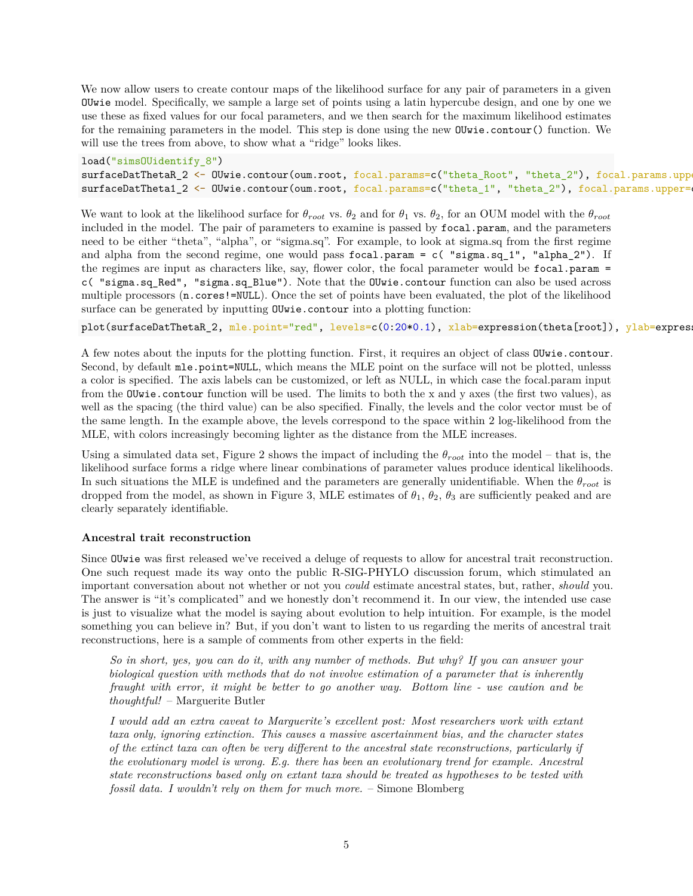We now allow users to create contour maps of the likelihood surface for any pair of parameters in a given OUwie model. Specifically, we sample a large set of points using a latin hypercube design, and one by one we use these as fixed values for our focal parameters, and we then search for the maximum likelihood estimates for the remaining parameters in the model. This step is done using the new OUwie.contour() function. We will use the trees from above, to show what a "ridge" looks likes.

load("simsOUidentify\_8") surfaceDatThetaR\_2 <- OUwie.contour(oum.root, focal.params=c("theta\_Root", "theta\_2"), focal.params.upp surfaceDatTheta1\_2 <- OUwie.contour(oum.root, focal.params=c("theta\_1", "theta\_2"), focal.params.upper=

We want to look at the likelihood surface for  $\theta_{root}$  vs.  $\theta_2$  and for  $\theta_1$  vs.  $\theta_2$ , for an OUM model with the  $\theta_{root}$ included in the model. The pair of parameters to examine is passed by focal.param, and the parameters need to be either "theta", "alpha", or "sigma.sq". For example, to look at sigma.sq from the first regime and alpha from the second regime, one would pass focal.param =  $c$  ( $"sigma.sq_1"$ ,  $"alpha_2"$ ). If the regimes are input as characters like, say, flower color, the focal parameter would be focal.param = c( "sigma.sq\_Red", "sigma.sq\_Blue"). Note that the OUwie.contour function can also be used across multiple processors  $(n \cdot \text{cores}!=\text{NULL})$ . Once the set of points have been evaluated, the plot of the likelihood surface can be generated by inputting OUwie.contour into a plotting function:

plot(surfaceDatThetaR\_2, mle.point="red", levels=c(0:20\*0.1), xlab=expression(theta[root]), ylab=expres

A few notes about the inputs for the plotting function. First, it requires an object of class OUwie.contour. Second, by default mle.point=NULL, which means the MLE point on the surface will not be plotted, unlesss a color is specified. The axis labels can be customized, or left as NULL, in which case the focal.param input from the OUwie.contour function will be used. The limits to both the x and y axes (the first two values), as well as the spacing (the third value) can be also specified. Finally, the levels and the color vector must be of the same length. In the example above, the levels correspond to the space within 2 log-likelihood from the MLE, with colors increasingly becoming lighter as the distance from the MLE increases.

Using a simulated data set, Figure 2 shows the impact of including the  $\theta_{root}$  into the model – that is, the likelihood surface forms a ridge where linear combinations of parameter values produce identical likelihoods. In such situations the MLE is undefined and the parameters are generally unidentifiable. When the *θroot* is dropped from the model, as shown in Figure 3, MLE estimates of  $\theta_1$ ,  $\theta_2$ ,  $\theta_3$  are sufficiently peaked and are clearly separately identifiable.

#### **Ancestral trait reconstruction**

Since OUwie was first released we've received a deluge of requests to allow for ancestral trait reconstruction. One such request made its way onto the public R-SIG-PHYLO discussion forum, which stimulated an important conversation about not whether or not you *could* estimate ancestral states, but, rather, *should* you. The answer is "it's complicated" and we honestly don't recommend it. In our view, the intended use case is just to visualize what the model is saying about evolution to help intuition. For example, is the model something you can believe in? But, if you don't want to listen to us regarding the merits of ancestral trait reconstructions, here is a sample of comments from other experts in the field:

*So in short, yes, you can do it, with any number of methods. But why? If you can answer your biological question with methods that do not involve estimation of a parameter that is inherently fraught with error, it might be better to go another way. Bottom line - use caution and be thoughtful!* – Marguerite Butler

*I would add an extra caveat to Marguerite's excellent post: Most researchers work with extant taxa only, ignoring extinction. This causes a massive ascertainment bias, and the character states of the extinct taxa can often be very different to the ancestral state reconstructions, particularly if the evolutionary model is wrong. E.g. there has been an evolutionary trend for example. Ancestral state reconstructions based only on extant taxa should be treated as hypotheses to be tested with fossil data. I wouldn't rely on them for much more.* – Simone Blomberg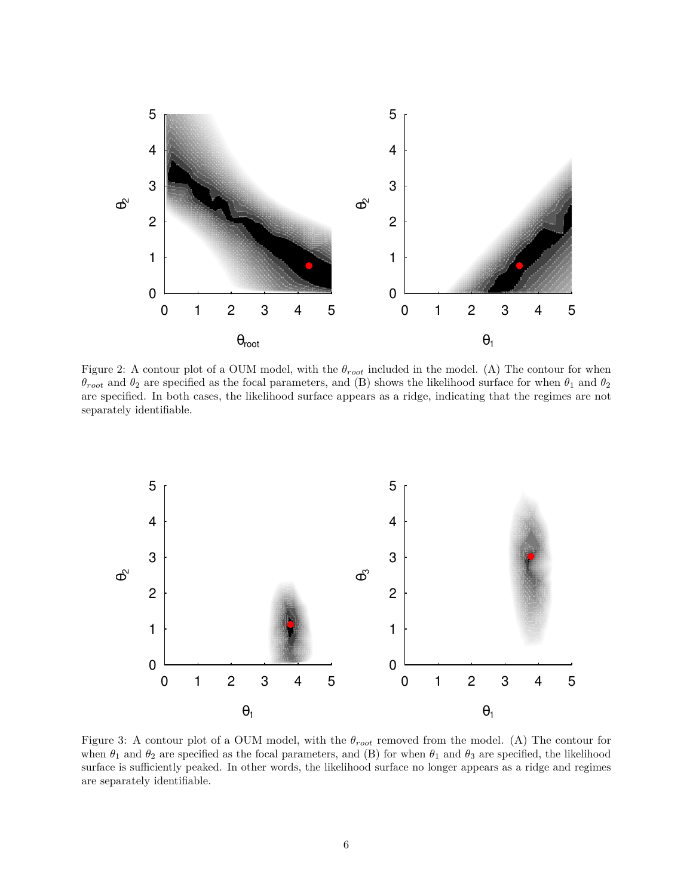

Figure 2: A contour plot of a OUM model, with the *θroot* included in the model. (A) The contour for when  $θ$ <sub>root</sub> and  $θ$ <sub>2</sub> are specified as the focal parameters, and (B) shows the likelihood surface for when  $θ$ <sub>1</sub> and  $θ$ <sub>2</sub> are specified. In both cases, the likelihood surface appears as a ridge, indicating that the regimes are not separately identifiable.



Figure 3: A contour plot of a OUM model, with the *θroot* removed from the model. (A) The contour for when  $\theta_1$  and  $\theta_2$  are specified as the focal parameters, and (B) for when  $\theta_1$  and  $\theta_3$  are specified, the likelihood surface is sufficiently peaked. In other words, the likelihood surface no longer appears as a ridge and regimes are separately identifiable.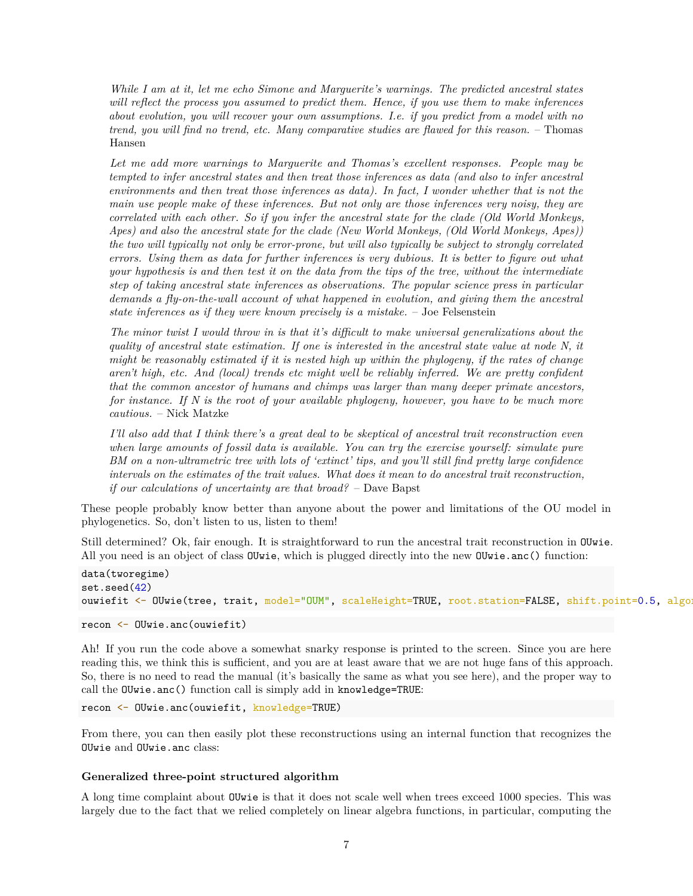*While I am at it, let me echo Simone and Marguerite's warnings. The predicted ancestral states will reflect the process you assumed to predict them. Hence, if you use them to make inferences about evolution, you will recover your own assumptions. I.e. if you predict from a model with no trend, you will find no trend, etc. Many comparative studies are flawed for this reason.* – Thomas Hansen

*Let me add more warnings to Marguerite and Thomas's excellent responses. People may be tempted to infer ancestral states and then treat those inferences as data (and also to infer ancestral environments and then treat those inferences as data). In fact, I wonder whether that is not the main use people make of these inferences. But not only are those inferences very noisy, they are correlated with each other. So if you infer the ancestral state for the clade (Old World Monkeys, Apes) and also the ancestral state for the clade (New World Monkeys, (Old World Monkeys, Apes)) the two will typically not only be error-prone, but will also typically be subject to strongly correlated errors. Using them as data for further inferences is very dubious. It is better to figure out what your hypothesis is and then test it on the data from the tips of the tree, without the intermediate step of taking ancestral state inferences as observations. The popular science press in particular demands a fly-on-the-wall account of what happened in evolution, and giving them the ancestral state inferences as if they were known precisely is a mistake.* – Joe Felsenstein

*The minor twist I would throw in is that it's difficult to make universal generalizations about the quality of ancestral state estimation. If one is interested in the ancestral state value at node N, it might be reasonably estimated if it is nested high up within the phylogeny, if the rates of change aren't high, etc. And (local) trends etc might well be reliably inferred. We are pretty confident that the common ancestor of humans and chimps was larger than many deeper primate ancestors, for instance. If N is the root of your available phylogeny, however, you have to be much more cautious.* – Nick Matzke

*I'll also add that I think there's a great deal to be skeptical of ancestral trait reconstruction even when large amounts of fossil data is available. You can try the exercise yourself: simulate pure BM on a non-ultrametric tree with lots of 'extinct' tips, and you'll still find pretty large confidence intervals on the estimates of the trait values. What does it mean to do ancestral trait reconstruction, if our calculations of uncertainty are that broad?* – Dave Bapst

These people probably know better than anyone about the power and limitations of the OU model in phylogenetics. So, don't listen to us, listen to them!

Still determined? Ok, fair enough. It is straightforward to run the ancestral trait reconstruction in OUwie. All you need is an object of class OUwie, which is plugged directly into the new OUwie.anc() function:

```
data(tworegime)
set.seed(42)
ouwiefit <- OUwie(tree, trait, model="OUM", scaleHeight=TRUE, root.station=FALSE, shift.point=0.5, algorithm=0.5, algorithm=0.5, algorithm=0.5, algorithm=0.5, algorithm=0.5, algorithm=0.5, algorithm=0.5, algorithm=0.5, alg
```
recon <- OUwie.anc(ouwiefit)

Ah! If you run the code above a somewhat snarky response is printed to the screen. Since you are here reading this, we think this is sufficient, and you are at least aware that we are not huge fans of this approach. So, there is no need to read the manual (it's basically the same as what you see here), and the proper way to call the OUwie.anc() function call is simply add in knowledge=TRUE:

recon <- OUwie.anc(ouwiefit, knowledge=TRUE)

From there, you can then easily plot these reconstructions using an internal function that recognizes the OUwie and OUwie.anc class:

#### **Generalized three-point structured algorithm**

A long time complaint about OUwie is that it does not scale well when trees exceed 1000 species. This was largely due to the fact that we relied completely on linear algebra functions, in particular, computing the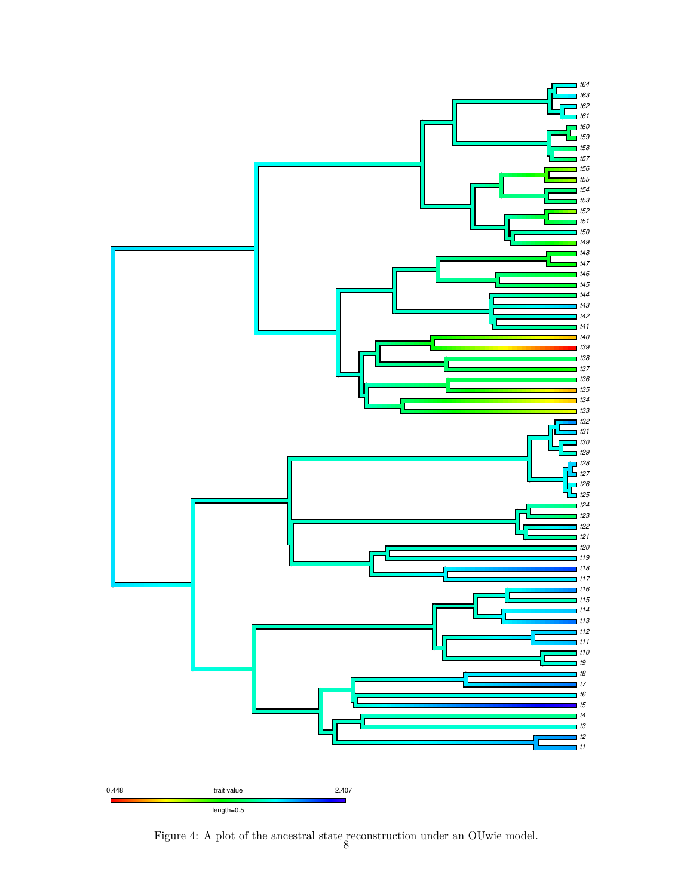

Figure 4: A plot of the ancestral state reconstruction under an OUwie model. 8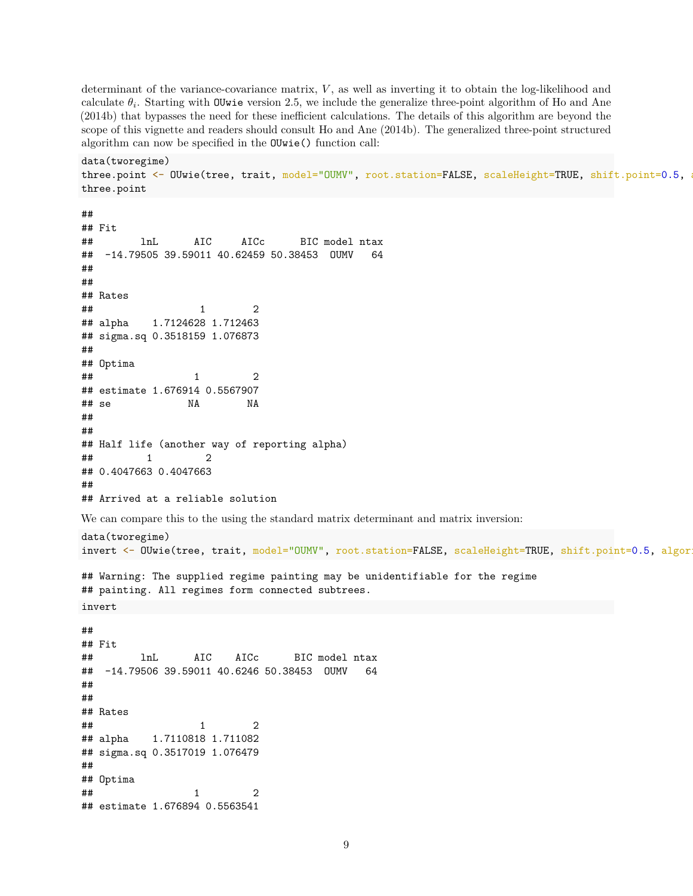determinant of the variance-covariance matrix, *V* , as well as inverting it to obtain the log-likelihood and calculate  $\theta_i$ . Starting with OUwie version 2.5, we include the generalize three-point algorithm of Ho and Ane (2014b) that bypasses the need for these inefficient calculations. The details of this algorithm are beyond the scope of this vignette and readers should consult Ho and Ane (2014b). The generalized three-point structured algorithm can now be specified in the OUwie() function call:

```
data(tworegime)
three.point <- OUwie(tree, trait, model="OUMV", root.station=FALSE, scaleHeight=TRUE, shift.point=0.5,
three.point
```

```
##
## Fit
## lnL AIC AICc BIC model ntax
## -14.79505 39.59011 40.62459 50.38453 OUMV 64
##
##
## Rates
\# \# \frac{1}{2}## alpha 1.7124628 1.712463
## sigma.sq 0.3518159 1.076873
##
## Optima
\# \# \frac{1}{2}## estimate 1.676914 0.5567907
## se NA NA
##
##
## Half life (another way of reporting alpha)
\# \# \frac{1}{2} \frac{2}{2}## 0.4047663 0.4047663
##
## Arrived at a reliable solution
We can compare this to the using the standard matrix determinant and matrix inversion:
data(tworegime)
invert <- OUwie(tree, trait, model="OUMV", root.station=FALSE, scaleHeight=TRUE, shift.point=0.5, algor
## Warning: The supplied regime painting may be unidentifiable for the regime
## painting. All regimes form connected subtrees.
invert
##
## Fit
## lnL AIC AICc BIC model ntax
## -14.79506 39.59011 40.6246 50.38453 OUMV 64
##
##
## Rates
\# \# \frac{1}{2}## alpha 1.7110818 1.711082
## sigma.sq 0.3517019 1.076479
##
## Optima
\# \# \frac{1}{2}## estimate 1.676894 0.5563541
```